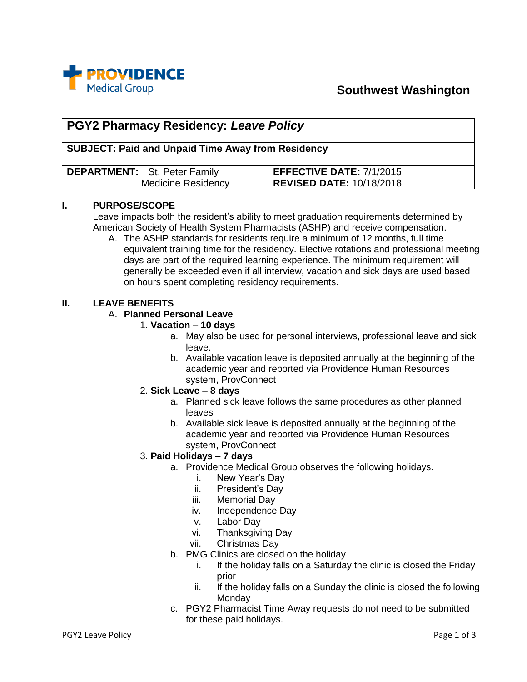

# **Southwest Washington**

# **PGY2 Pharmacy Residency:** *Leave Policy* **SUBJECT: Paid and Unpaid Time Away from Residency DEPARTMENT:** St. Peter Family Medicine Residency **EFFECTIVE DATE:** 7/1/2015 **REVISED DATE:** 10/18/2018

#### **I. PURPOSE/SCOPE**

Leave impacts both the resident's ability to meet graduation requirements determined by American Society of Health System Pharmacists (ASHP) and receive compensation.

A. The ASHP standards for residents require a minimum of 12 months, full time equivalent training time for the residency. Elective rotations and professional meeting days are part of the required learning experience. The minimum requirement will generally be exceeded even if all interview, vacation and sick days are used based on hours spent completing residency requirements.

#### **II. LEAVE BENEFITS**

### A. **Planned Personal Leave**

#### 1. **Vacation – 10 days**

- a. May also be used for personal interviews, professional leave and sick leave.
- b. Available vacation leave is deposited annually at the beginning of the academic year and reported via Providence Human Resources system, ProvConnect

#### 2. **Sick Leave – 8 days**

- a. Planned sick leave follows the same procedures as other planned leaves
- b. Available sick leave is deposited annually at the beginning of the academic year and reported via Providence Human Resources system, ProvConnect

#### 3. **Paid Holidays – 7 days**

- a. Providence Medical Group observes the following holidays.
	- i. New Year's Day
		- ii. President's Day
	- iii. Memorial Day
	- iv. Independence Day
	- v. Labor Day
	- vi. Thanksgiving Day
	- vii. Christmas Day
- b. PMG Clinics are closed on the holiday
	- i. If the holiday falls on a Saturday the clinic is closed the Friday prior
	- ii. If the holiday falls on a Sunday the clinic is closed the following **Monday**
- c. PGY2 Pharmacist Time Away requests do not need to be submitted for these paid holidays.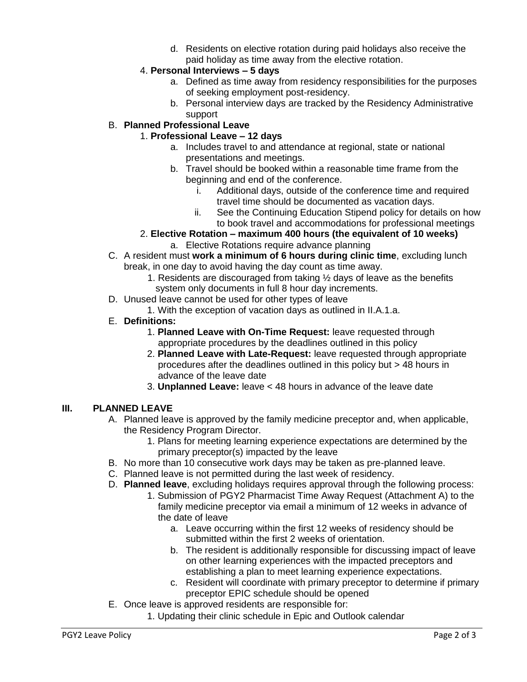d. Residents on elective rotation during paid holidays also receive the paid holiday as time away from the elective rotation.

# 4. **Personal Interviews – 5 days**

- a. Defined as time away from residency responsibilities for the purposes of seeking employment post-residency.
- b. Personal interview days are tracked by the Residency Administrative support

# B. **Planned Professional Leave**

# 1. **Professional Leave – 12 days**

- a. Includes travel to and attendance at regional, state or national presentations and meetings.
- b. Travel should be booked within a reasonable time frame from the beginning and end of the conference.
	- i. Additional days, outside of the conference time and required travel time should be documented as vacation days.
	- ii. See the Continuing Education Stipend policy for details on how to book travel and accommodations for professional meetings

# 2. **Elective Rotation – maximum 400 hours (the equivalent of 10 weeks)**

- a. Elective Rotations require advance planning
- C. A resident must **work a minimum of 6 hours during clinic time**, excluding lunch break, in one day to avoid having the day count as time away.
	- 1. Residents are discouraged from taking ½ days of leave as the benefits system only documents in full 8 hour day increments.
- D. Unused leave cannot be used for other types of leave
- 1. With the exception of vacation days as outlined in II.A.1.a.
- E. **Definitions:**
	- 1. **Planned Leave with On-Time Request:** leave requested through appropriate procedures by the deadlines outlined in this policy
	- 2. **Planned Leave with Late-Request:** leave requested through appropriate procedures after the deadlines outlined in this policy but > 48 hours in advance of the leave date
	- 3. **Unplanned Leave:** leave < 48 hours in advance of the leave date

# **III. PLANNED LEAVE**

- A. Planned leave is approved by the family medicine preceptor and, when applicable, the Residency Program Director.
	- 1. Plans for meeting learning experience expectations are determined by the primary preceptor(s) impacted by the leave
- B. No more than 10 consecutive work days may be taken as pre-planned leave.
- C. Planned leave is not permitted during the last week of residency.
- D. **Planned leave**, excluding holidays requires approval through the following process:
	- 1. Submission of PGY2 Pharmacist Time Away Request (Attachment A) to the family medicine preceptor via email a minimum of 12 weeks in advance of the date of leave
		- a. Leave occurring within the first 12 weeks of residency should be submitted within the first 2 weeks of orientation.
		- b. The resident is additionally responsible for discussing impact of leave on other learning experiences with the impacted preceptors and establishing a plan to meet learning experience expectations.
		- c. Resident will coordinate with primary preceptor to determine if primary preceptor EPIC schedule should be opened
- E. Once leave is approved residents are responsible for:
	- 1. Updating their clinic schedule in Epic and Outlook calendar